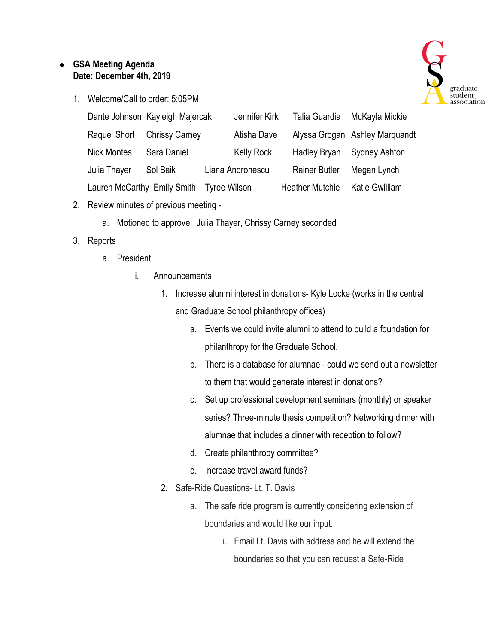## ❖ **GSA Meeting Agenda Date: December 4th, 2019**



1. Welcome/Call to order: 5:05PM

|                    | Dante Johnson Kayleigh Majercak          | Jennifer Kirk     | Talia Guardia          | McKayla Mickie                 |
|--------------------|------------------------------------------|-------------------|------------------------|--------------------------------|
| Raquel Short       | <b>Chrissy Carney</b>                    | Atisha Dave       |                        | Alyssa Grogan Ashley Marguandt |
| <b>Nick Montes</b> | Sara Daniel                              | <b>Kelly Rock</b> | <b>Hadley Bryan</b>    | <b>Sydney Ashton</b>           |
| Julia Thayer       | Sol Baik                                 | Liana Andronescu  | <b>Rainer Butler</b>   | Megan Lynch                    |
|                    | Lauren McCarthy Emily Smith Tyree Wilson |                   | <b>Heather Mutchie</b> | Katie Gwilliam                 |

- 2. Review minutes of previous meeting
	- a. Motioned to approve: Julia Thayer, Chrissy Carney seconded
- 3. Reports
	- a. President
		- i. Announcements
			- 1. Increase alumni interest in donations- Kyle Locke (works in the central and Graduate School philanthropy offices)
				- a. Events we could invite alumni to attend to build a foundation for philanthropy for the Graduate School.
				- b. There is a database for alumnae could we send out a newsletter to them that would generate interest in donations?
				- c. Set up professional development seminars (monthly) or speaker series? Three-minute thesis competition? Networking dinner with alumnae that includes a dinner with reception to follow?
				- d. Create philanthropy committee?
				- e. Increase travel award funds?
			- 2. Safe-Ride Questions- Lt. T. Davis
				- a. The safe ride program is currently considering extension of boundaries and would like our input.
					- i. Email Lt. Davis with address and he will extend the boundaries so that you can request a Safe-Ride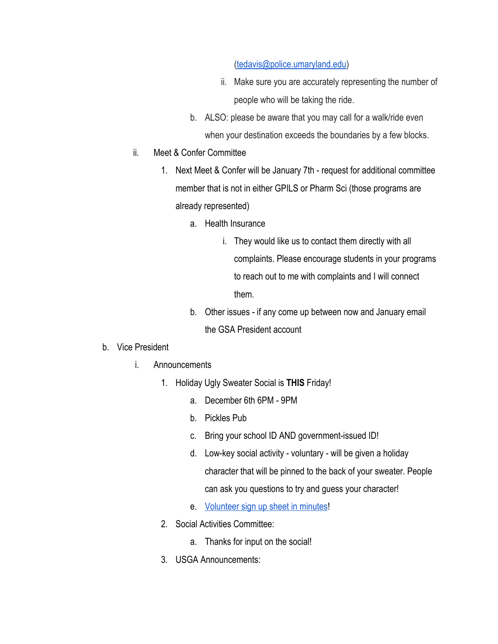## [\(tedavis@police.umaryland.edu\)](mailto:tedavis@police.umaryland.edu)

- ii. Make sure you are accurately representing the number of people who will be taking the ride.
- b. ALSO: please be aware that you may call for a walk/ride even when your destination exceeds the boundaries by a few blocks.
- ii. Meet & Confer Committee
	- 1. Next Meet & Confer will be January 7th request for additional committee member that is not in either GPILS or Pharm Sci (those programs are already represented)
		- a. Health Insurance
			- i. They would like us to contact them directly with all complaints. Please encourage students in your programs to reach out to me with complaints and I will connect them.
		- b. Other issues if any come up between now and January email the GSA President account
- b. Vice President
	- i. Announcements
		- 1. Holiday Ugly Sweater Social is **THIS** Friday!
			- a. December 6th 6PM 9PM
			- b. Pickles Pub
			- c. Bring your school ID AND government-issued ID!
			- d. Low-key social activity voluntary will be given a holiday character that will be pinned to the back of your sweater. People can ask you questions to try and guess your character!
			- e. [Volunteer sign up sheet in minutes!](https://templates.office.com/en-us/volunteer-sign-up-sheet-tm04021442)
		- 2. Social Activities Committee:
			- a. Thanks for input on the social!
		- 3. USGA Announcements: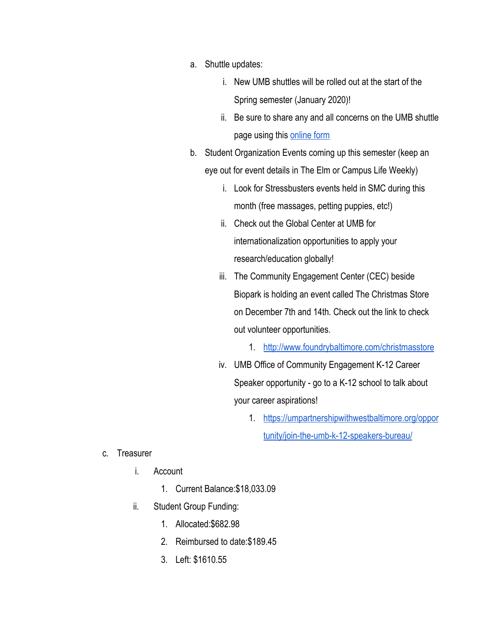- a. Shuttle updates:
	- i. New UMB shuttles will be rolled out at the start of the Spring semester (January 2020)!
	- ii. Be sure to share any and all concerns on the UMB shuttle page using this [online form](https://www.umaryland.edu/shuttlebus/suggestions/)
- b. Student Organization Events coming up this semester (keep an eye out for event details in The Elm or Campus Life Weekly)
	- i. Look for Stressbusters events held in SMC during this month (free massages, petting puppies, etc!)
	- ii. Check out the Global Center at UMB for internationalization opportunities to apply your research/education globally!
	- iii. The Community Engagement Center (CEC) beside Biopark is holding an event called The Christmas Store on December 7th and 14th. Check out the link to check out volunteer opportunities.
		- 1. <http://www.foundrybaltimore.com/christmasstore>
	- iv. UMB Office of Community Engagement K-12 Career Speaker opportunity - go to a K-12 school to talk about your career aspirations!
		- 1. [https://umpartnershipwithwestbaltimore.org/oppor](https://umpartnershipwithwestbaltimore.org/opportunity/join-the-umb-k-12-speakers-bureau/) [tunity/join-the-umb-k-12-speakers-bureau/](https://umpartnershipwithwestbaltimore.org/opportunity/join-the-umb-k-12-speakers-bureau/)

- c. Treasurer
	- i. Account
		- 1. Current Balance:\$18,033.09
	- ii. Student Group Funding:
		- 1. Allocated:\$682.98
		- 2. Reimbursed to date:\$189.45
		- 3. Left: \$1610.55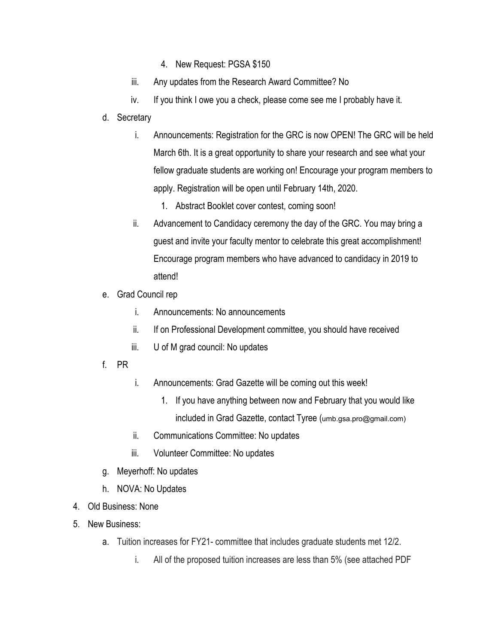- 4. New Request: PGSA \$150
- iii. Any updates from the Research Award Committee? No
- iv. If you think I owe you a check, please come see me I probably have it.
- d. Secretary
	- i. Announcements: Registration for the GRC is now OPEN! The GRC will be held March 6th. It is a great opportunity to share your research and see what your fellow graduate students are working on! Encourage your program members to apply. Registration will be open until February 14th, 2020.
		- 1. Abstract Booklet cover contest, coming soon!
	- ii. Advancement to Candidacy ceremony the day of the GRC. You may bring a guest and invite your faculty mentor to celebrate this great accomplishment! Encourage program members who have advanced to candidacy in 2019 to attend!
- e. Grad Council rep
	- i. Announcements: No announcements
	- ii. If on Professional Development committee, you should have received
	- iii. U of M grad council: No updates
- f. PR
- i. Announcements: Grad Gazette will be coming out this week!
	- 1. If you have anything between now and February that you would like included in Grad Gazette, contact Tyree (umb.gsa.pro@gmail.com)
- ii. Communications Committee: No updates
- iii. Volunteer Committee: No updates
- g. Meyerhoff: No updates
- h. NOVA: No Updates
- 4. Old Business: None
- 5. New Business:
	- a. Tuition increases for FY21- committee that includes graduate students met 12/2.
		- i. All of the proposed tuition increases are less than 5% (see attached PDF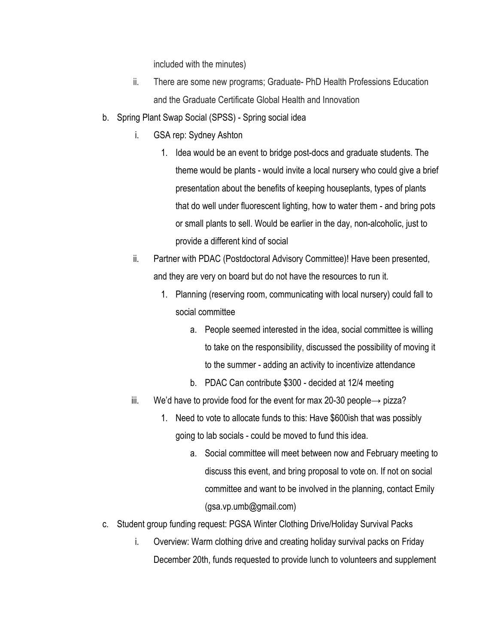included with the minutes)

- ii. There are some new programs; Graduate- PhD Health Professions Education and the Graduate Certificate Global Health and Innovation
- b. Spring Plant Swap Social (SPSS) Spring social idea
	- i. GSA rep: Sydney Ashton
		- 1. Idea would be an event to bridge post-docs and graduate students. The theme would be plants - would invite a local nursery who could give a brief presentation about the benefits of keeping houseplants, types of plants that do well under fluorescent lighting, how to water them - and bring pots or small plants to sell. Would be earlier in the day, non-alcoholic, just to provide a different kind of social
	- ii. Partner with PDAC (Postdoctoral Advisory Committee)! Have been presented, and they are very on board but do not have the resources to run it.
		- 1. Planning (reserving room, communicating with local nursery) could fall to social committee
			- a. People seemed interested in the idea, social committee is willing to take on the responsibility, discussed the possibility of moving it to the summer - adding an activity to incentivize attendance
			- b. PDAC Can contribute \$300 decided at 12/4 meeting
	- iii. We'd have to provide food for the event for max 20-30 people→ pizza?
		- 1. Need to vote to allocate funds to this: Have \$600ish that was possibly going to lab socials - could be moved to fund this idea.
			- a. Social committee will meet between now and February meeting to discuss this event, and bring proposal to vote on. If not on social committee and want to be involved in the planning, contact Emily (gsa.vp.umb@gmail.com)
- c. Student group funding request: PGSA Winter Clothing Drive/Holiday Survival Packs
	- i. Overview: Warm clothing drive and creating holiday survival packs on Friday December 20th, funds requested to provide lunch to volunteers and supplement